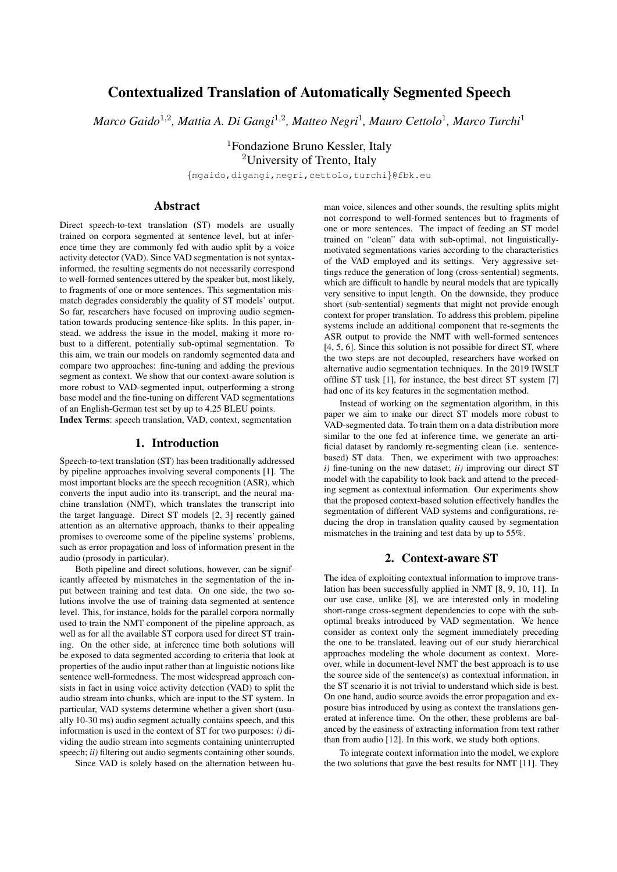# Contextualized Translation of Automatically Segmented Speech

*Marco Gaido*<sup>1</sup>,<sup>2</sup> *, Mattia A. Di Gangi*<sup>1</sup>,<sup>2</sup> *, Matteo Negri*<sup>1</sup> *, Mauro Cettolo*<sup>1</sup> *, Marco Turchi*<sup>1</sup>

<sup>1</sup>Fondazione Bruno Kessler, Italy <sup>2</sup>University of Trento, Italy

{mgaido,digangi,negri,cettolo,turchi}@fbk.eu

### Abstract

Direct speech-to-text translation (ST) models are usually trained on corpora segmented at sentence level, but at inference time they are commonly fed with audio split by a voice activity detector (VAD). Since VAD segmentation is not syntaxinformed, the resulting segments do not necessarily correspond to well-formed sentences uttered by the speaker but, most likely, to fragments of one or more sentences. This segmentation mismatch degrades considerably the quality of ST models' output. So far, researchers have focused on improving audio segmentation towards producing sentence-like splits. In this paper, instead, we address the issue in the model, making it more robust to a different, potentially sub-optimal segmentation. To this aim, we train our models on randomly segmented data and compare two approaches: fine-tuning and adding the previous segment as context. We show that our context-aware solution is more robust to VAD-segmented input, outperforming a strong base model and the fine-tuning on different VAD segmentations of an English-German test set by up to 4.25 BLEU points.

Index Terms: speech translation, VAD, context, segmentation

#### 1. Introduction

Speech-to-text translation (ST) has been traditionally addressed by pipeline approaches involving several components [1]. The most important blocks are the speech recognition (ASR), which converts the input audio into its transcript, and the neural machine translation (NMT), which translates the transcript into the target language. Direct ST models [2, 3] recently gained attention as an alternative approach, thanks to their appealing promises to overcome some of the pipeline systems' problems, such as error propagation and loss of information present in the audio (prosody in particular).

Both pipeline and direct solutions, however, can be significantly affected by mismatches in the segmentation of the input between training and test data. On one side, the two solutions involve the use of training data segmented at sentence level. This, for instance, holds for the parallel corpora normally used to train the NMT component of the pipeline approach, as well as for all the available ST corpora used for direct ST training. On the other side, at inference time both solutions will be exposed to data segmented according to criteria that look at properties of the audio input rather than at linguistic notions like sentence well-formedness. The most widespread approach consists in fact in using voice activity detection (VAD) to split the audio stream into chunks, which are input to the ST system. In particular, VAD systems determine whether a given short (usually 10-30 ms) audio segment actually contains speech, and this information is used in the context of ST for two purposes: *i)* dividing the audio stream into segments containing uninterrupted speech; *ii*) filtering out audio segments containing other sounds.

Since VAD is solely based on the alternation between hu-

man voice, silences and other sounds, the resulting splits might not correspond to well-formed sentences but to fragments of one or more sentences. The impact of feeding an ST model trained on "clean" data with sub-optimal, not linguisticallymotivated segmentations varies according to the characteristics of the VAD employed and its settings. Very aggressive settings reduce the generation of long (cross-sentential) segments, which are difficult to handle by neural models that are typically very sensitive to input length. On the downside, they produce short (sub-sentential) segments that might not provide enough context for proper translation. To address this problem, pipeline systems include an additional component that re-segments the ASR output to provide the NMT with well-formed sentences [4, 5, 6]. Since this solution is not possible for direct ST, where the two steps are not decoupled, researchers have worked on alternative audio segmentation techniques. In the 2019 IWSLT offline ST task [1], for instance, the best direct ST system [7] had one of its key features in the segmentation method.

Instead of working on the segmentation algorithm, in this paper we aim to make our direct ST models more robust to VAD-segmented data. To train them on a data distribution more similar to the one fed at inference time, we generate an artificial dataset by randomly re-segmenting clean (i.e. sentencebased) ST data. Then, we experiment with two approaches: *i)* fine-tuning on the new dataset; *ii)* improving our direct ST model with the capability to look back and attend to the preceding segment as contextual information. Our experiments show that the proposed context-based solution effectively handles the segmentation of different VAD systems and configurations, reducing the drop in translation quality caused by segmentation mismatches in the training and test data by up to 55%.

### 2. Context-aware ST

The idea of exploiting contextual information to improve translation has been successfully applied in NMT [8, 9, 10, 11]. In our use case, unlike [8], we are interested only in modeling short-range cross-segment dependencies to cope with the suboptimal breaks introduced by VAD segmentation. We hence consider as context only the segment immediately preceding the one to be translated, leaving out of our study hierarchical approaches modeling the whole document as context. Moreover, while in document-level NMT the best approach is to use the source side of the sentence(s) as contextual information, in the ST scenario it is not trivial to understand which side is best. On one hand, audio source avoids the error propagation and exposure bias introduced by using as context the translations generated at inference time. On the other, these problems are balanced by the easiness of extracting information from text rather than from audio [12]. In this work, we study both options.

To integrate context information into the model, we explore the two solutions that gave the best results for NMT [11]. They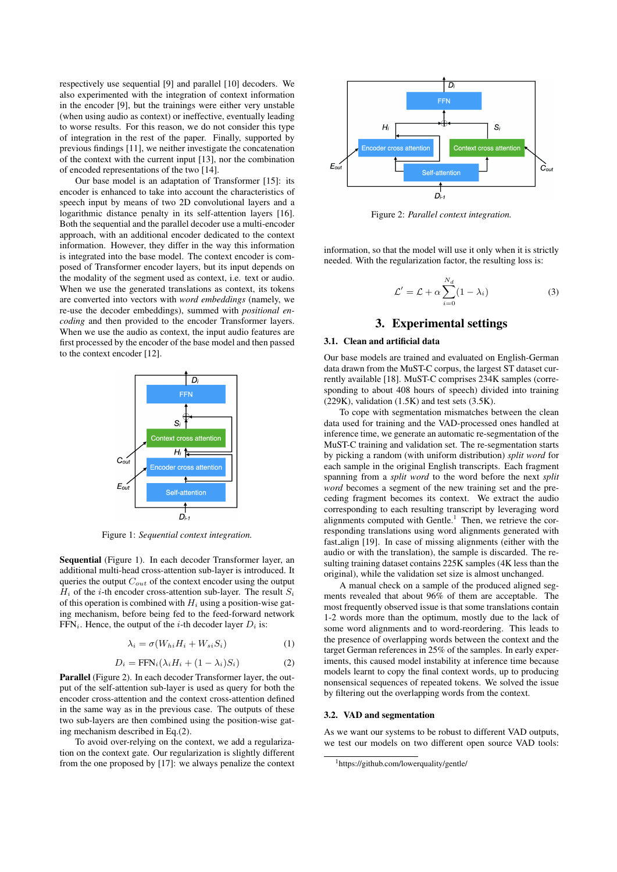respectively use sequential [9] and parallel [10] decoders. We also experimented with the integration of context information in the encoder [9], but the trainings were either very unstable (when using audio as context) or ineffective, eventually leading to worse results. For this reason, we do not consider this type of integration in the rest of the paper. Finally, supported by previous findings [11], we neither investigate the concatenation of the context with the current input [13], nor the combination of encoded representations of the two [14].

Our base model is an adaptation of Transformer [15]: its encoder is enhanced to take into account the characteristics of speech input by means of two 2D convolutional layers and a logarithmic distance penalty in its self-attention layers [16]. Both the sequential and the parallel decoder use a multi-encoder approach, with an additional encoder dedicated to the context information. However, they differ in the way this information is integrated into the base model. The context encoder is composed of Transformer encoder layers, but its input depends on the modality of the segment used as context, i.e. text or audio. When we use the generated translations as context, its tokens are converted into vectors with *word embeddings* (namely, we re-use the decoder embeddings), summed with *positional encoding* and then provided to the encoder Transformer layers. When we use the audio as context, the input audio features are first processed by the encoder of the base model and then passed to the context encoder [12].



Figure 1: *Sequential context integration.*

Sequential (Figure 1). In each decoder Transformer layer, an additional multi-head cross-attention sub-layer is introduced. It queries the output  $C_{out}$  of the context encoder using the output  $H_i$  of the *i*-th encoder cross-attention sub-layer. The result  $S_i$ of this operation is combined with  $H_i$  using a position-wise gating mechanism, before being fed to the feed-forward network  $FFN_i$ . Hence, the output of the *i*-th decoder layer  $D_i$  is:

$$
\lambda_i = \sigma(W_{hi} H_i + W_{si} S_i)
$$
 (1)

$$
D_i = \text{FFN}_i(\lambda_i H_i + (1 - \lambda_i) S_i)
$$
 (2)

Parallel (Figure 2). In each decoder Transformer layer, the output of the self-attention sub-layer is used as query for both the encoder cross-attention and the context cross-attention defined in the same way as in the previous case. The outputs of these two sub-layers are then combined using the position-wise gating mechanism described in Eq.(2).

To avoid over-relying on the context, we add a regularization on the context gate. Our regularization is slightly different from the one proposed by [17]: we always penalize the context



Figure 2: *Parallel context integration.*

information, so that the model will use it only when it is strictly needed. With the regularization factor, the resulting loss is:

$$
\mathcal{L}' = \mathcal{L} + \alpha \sum_{i=0}^{N_d} (1 - \lambda_i)
$$
 (3)

# 3. Experimental settings

#### 3.1. Clean and artificial data

Our base models are trained and evaluated on English-German data drawn from the MuST-C corpus, the largest ST dataset currently available [18]. MuST-C comprises 234K samples (corresponding to about 408 hours of speech) divided into training  $(229K)$ , validation  $(1.5K)$  and test sets  $(3.5K)$ .

To cope with segmentation mismatches between the clean data used for training and the VAD-processed ones handled at inference time, we generate an automatic re-segmentation of the MuST-C training and validation set. The re-segmentation starts by picking a random (with uniform distribution) *split word* for each sample in the original English transcripts. Each fragment spanning from a *split word* to the word before the next *split word* becomes a segment of the new training set and the preceding fragment becomes its context. We extract the audio corresponding to each resulting transcript by leveraging word alignments computed with Gentle.<sup>1</sup> Then, we retrieve the corresponding translations using word alignments generated with fast align [19]. In case of missing alignments (either with the audio or with the translation), the sample is discarded. The resulting training dataset contains 225K samples (4K less than the original), while the validation set size is almost unchanged.

A manual check on a sample of the produced aligned segments revealed that about 96% of them are acceptable. The most frequently observed issue is that some translations contain 1-2 words more than the optimum, mostly due to the lack of some word alignments and to word-reordering. This leads to the presence of overlapping words between the context and the target German references in 25% of the samples. In early experiments, this caused model instability at inference time because models learnt to copy the final context words, up to producing nonsensical sequences of repeated tokens. We solved the issue by filtering out the overlapping words from the context.

#### 3.2. VAD and segmentation

As we want our systems to be robust to different VAD outputs, we test our models on two different open source VAD tools:

<sup>1</sup>https://github.com/lowerquality/gentle/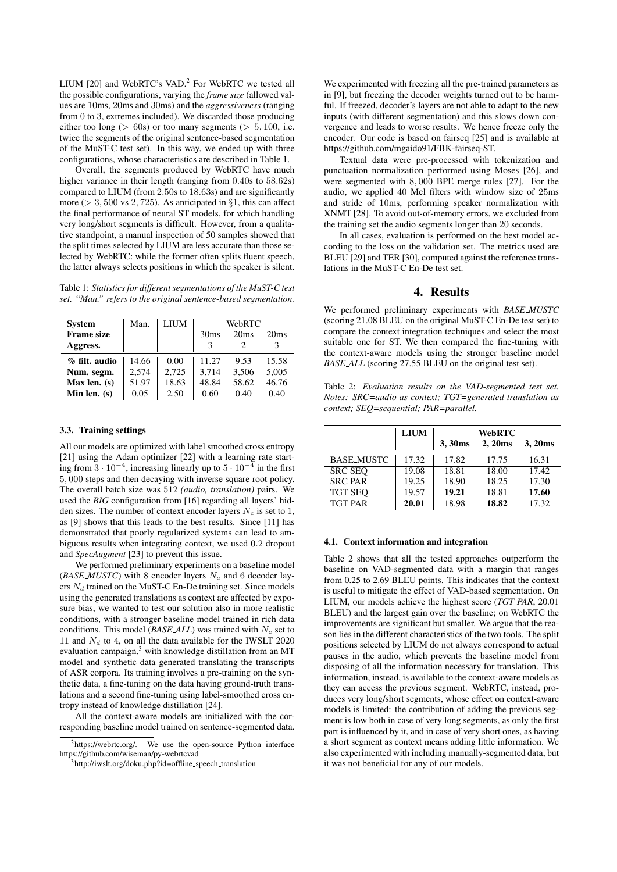LIUM  $[20]$  and WebRTC's VAD.<sup>2</sup> For WebRTC we tested all the possible configurations, varying the *frame size* (allowed values are 10ms, 20ms and 30ms) and the *aggressiveness* (ranging from 0 to 3, extremes included). We discarded those producing either too long ( $> 60s$ ) or too many segments ( $> 5,100$ , i.e. twice the segments of the original sentence-based segmentation of the MuST-C test set). In this way, we ended up with three configurations, whose characteristics are described in Table 1.

Overall, the segments produced by WebRTC have much higher variance in their length (ranging from 0.40s to 58.62s) compared to LIUM (from 2.50s to 18.63s) and are significantly more ( $> 3,500$  vs 2,725). As anticipated in  $\S1$ , this can affect the final performance of neural ST models, for which handling very long/short segments is difficult. However, from a qualitative standpoint, a manual inspection of 50 samples showed that the split times selected by LIUM are less accurate than those selected by WebRTC: while the former often splits fluent speech, the latter always selects positions in which the speaker is silent.

Table 1: *Statistics for different segmentations of the MuST-C test set. "Man." refers to the original sentence-based segmentation.*

| <b>System</b><br><b>Frame size</b><br>Aggress. | Man.  | LIUM  | WebRTC<br>30 <sub>ms</sub><br>20ms<br>20ms<br>3 |       |       |
|------------------------------------------------|-------|-------|-------------------------------------------------|-------|-------|
| % filt. audio                                  | 14.66 | 0.00  | 11.27                                           | 9.53  | 15.58 |
| Num. segm.                                     | 2.574 | 2,725 | 3.714                                           | 3,506 | 5,005 |
| Max len. $(s)$                                 | 51.97 | 18.63 | 48.84                                           | 58.62 | 46.76 |
| Min len. $(s)$                                 | 0.05  | 2.50  | 0.60                                            | 0.40  | 0.40  |

#### 3.3. Training settings

All our models are optimized with label smoothed cross entropy [21] using the Adam optimizer [22] with a learning rate starting from  $3 \cdot 10^{-4}$ , increasing linearly up to  $5 \cdot 10^{-4}$  in the first 5, 000 steps and then decaying with inverse square root policy. The overall batch size was 512 *(audio, translation)* pairs. We used the *BIG* configuration from [16] regarding all layers' hidden sizes. The number of context encoder layers  $N_c$  is set to 1, as [9] shows that this leads to the best results. Since [11] has demonstrated that poorly regularized systems can lead to ambiguous results when integrating context, we used 0.2 dropout and *SpecAugment* [23] to prevent this issue.

We performed preliminary experiments on a baseline model ( $BASE_MUSTC$ ) with 8 encoder layers  $N_e$  and 6 decoder layers  $N_d$  trained on the MuST-C En-De training set. Since models using the generated translations as context are affected by exposure bias, we wanted to test our solution also in more realistic conditions, with a stronger baseline model trained in rich data conditions. This model (*BASE ALL*) was trained with  $N_e$  set to 11 and  $N_d$  to 4, on all the data available for the IWSLT 2020 evaluation campaign,<sup>3</sup> with knowledge distillation from an MT model and synthetic data generated translating the transcripts of ASR corpora. Its training involves a pre-training on the synthetic data, a fine-tuning on the data having ground-truth translations and a second fine-tuning using label-smoothed cross entropy instead of knowledge distillation [24].

All the context-aware models are initialized with the corresponding baseline model trained on sentence-segmented data.

We experimented with freezing all the pre-trained parameters as in [9], but freezing the decoder weights turned out to be harmful. If freezed, decoder's layers are not able to adapt to the new inputs (with different segmentation) and this slows down convergence and leads to worse results. We hence freeze only the encoder. Our code is based on fairseq [25] and is available at https://github.com/mgaido91/FBK-fairseq-ST.

Textual data were pre-processed with tokenization and punctuation normalization performed using Moses [26], and were segmented with 8, 000 BPE merge rules [27]. For the audio, we applied 40 Mel filters with window size of 25ms and stride of 10ms, performing speaker normalization with XNMT [28]. To avoid out-of-memory errors, we excluded from the training set the audio segments longer than 20 seconds.

In all cases, evaluation is performed on the best model according to the loss on the validation set. The metrics used are BLEU [29] and TER [30], computed against the reference translations in the MuST-C En-De test set.

### 4. Results

We performed preliminary experiments with *BASE MUSTC* (scoring 21.08 BLEU on the original MuST-C En-De test set) to compare the context integration techniques and select the most suitable one for ST. We then compared the fine-tuning with the context-aware models using the stronger baseline model *BASE ALL* (scoring 27.55 BLEU on the original test set).

Table 2: *Evaluation results on the VAD-segmented test set. Notes: SRC=audio as context; TGT=generated translation as context; SEQ=sequential; PAR=parallel.*

|                   | <b>LIUM</b> | <b>WebRTC</b> |         |        |  |
|-------------------|-------------|---------------|---------|--------|--|
|                   |             | 3, 30ms       | 2, 20ms | 3,20ms |  |
| <b>BASE MUSTC</b> | 17.32       | 17.82         | 17.75   | 16.31  |  |
| <b>SRC SEO</b>    | 19.08       | 18.81         | 18.00   | 17.42  |  |
| <b>SRC PAR</b>    | 19.25       | 18.90         | 18.25   | 17.30  |  |
| <b>TGT SEQ</b>    | 19.57       | 19.21         | 18.81   | 17.60  |  |
| <b>TGT PAR</b>    | 20.01       | 18.98         | 18.82   | 17.32  |  |

#### 4.1. Context information and integration

Table 2 shows that all the tested approaches outperform the baseline on VAD-segmented data with a margin that ranges from 0.25 to 2.69 BLEU points. This indicates that the context is useful to mitigate the effect of VAD-based segmentation. On LIUM, our models achieve the highest score (*TGT PAR*, 20.01 BLEU) and the largest gain over the baseline; on WebRTC the improvements are significant but smaller. We argue that the reason lies in the different characteristics of the two tools. The split positions selected by LIUM do not always correspond to actual pauses in the audio, which prevents the baseline model from disposing of all the information necessary for translation. This information, instead, is available to the context-aware models as they can access the previous segment. WebRTC, instead, produces very long/short segments, whose effect on context-aware models is limited: the contribution of adding the previous segment is low both in case of very long segments, as only the first part is influenced by it, and in case of very short ones, as having a short segment as context means adding little information. We also experimented with including manually-segmented data, but it was not beneficial for any of our models.

<sup>&</sup>lt;sup>2</sup>https://webrtc.org/. We use the open-source Python interface https://github.com/wiseman/py-webrtcvad

<sup>&</sup>lt;sup>3</sup>http://iwslt.org/doku.php?id=offline\_speech\_translation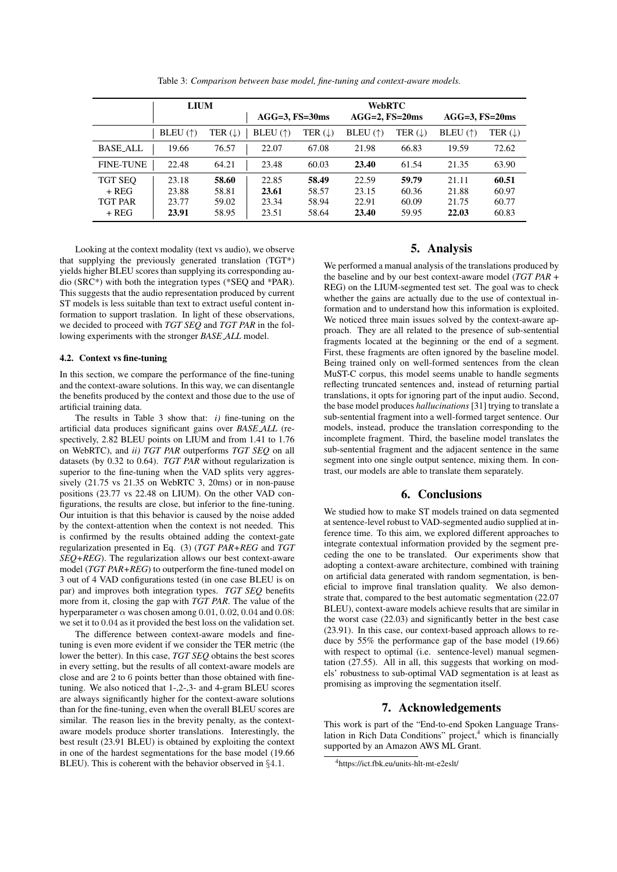|                  | LIUM                                      |                    | <b>WebRTC</b>       |                      |                   |                    |                     |                      |
|------------------|-------------------------------------------|--------------------|---------------------|----------------------|-------------------|--------------------|---------------------|----------------------|
|                  |                                           |                    | $AGG=3$ , $FS=30ms$ |                      | $AGG=2, FS=20ms$  |                    | $AGG=3$ , $FS=20ms$ |                      |
|                  | BLEU $($ <sup><math>\dagger)</math></sup> | TER $(\downarrow)$ | BLEU $(\uparrow)$   | TER $( \downarrow )$ | BLEU $(\uparrow)$ | TER $(\downarrow)$ | BLEU $(\uparrow)$   | TER $( \downarrow )$ |
| <b>BASE_ALL</b>  | 19.66                                     | 76.57              | 22.07               | 67.08                | 21.98             | 66.83              | 19.59               | 72.62                |
| <b>FINE-TUNE</b> | 22.48                                     | 64.21              | 23.48               | 60.03                | 23.40             | 61.54              | 21.35               | 63.90                |
| TGT SEO          | 23.18                                     | 58.60              | 22.85               | 58.49                | 22.59             | 59.79              | 21.11               | 60.51                |
| $+$ REG          | 23.88                                     | 58.81              | 23.61               | 58.57                | 23.15             | 60.36              | 21.88               | 60.97                |
| <b>TGT PAR</b>   | 23.77                                     | 59.02              | 23.34               | 58.94                | 22.91             | 60.09              | 21.75               | 60.77                |
| + REG            | 23.91                                     | 58.95              | 23.51               | 58.64                | 23.40             | 59.95              | 22.03               | 60.83                |

Table 3: *Comparison between base model, fine-tuning and context-aware models.*

Looking at the context modality (text vs audio), we observe that supplying the previously generated translation (TGT\*) yields higher BLEU scores than supplying its corresponding audio (SRC\*) with both the integration types (\*SEQ and \*PAR). This suggests that the audio representation produced by current ST models is less suitable than text to extract useful content information to support traslation. In light of these observations, we decided to proceed with *TGT SEQ* and *TGT PAR* in the following experiments with the stronger *BASE ALL* model.

#### 4.2. Context vs fine-tuning

In this section, we compare the performance of the fine-tuning and the context-aware solutions. In this way, we can disentangle the benefits produced by the context and those due to the use of artificial training data.

The results in Table 3 show that: *i)* fine-tuning on the artificial data produces significant gains over *BASE ALL* (respectively, 2.82 BLEU points on LIUM and from 1.41 to 1.76 on WebRTC), and *ii) TGT PAR* outperforms *TGT SEQ* on all datasets (by 0.32 to 0.64). *TGT PAR* without regularization is superior to the fine-tuning when the VAD splits very aggressively (21.75 vs 21.35 on WebRTC 3, 20ms) or in non-pause positions (23.77 vs 22.48 on LIUM). On the other VAD configurations, the results are close, but inferior to the fine-tuning. Our intuition is that this behavior is caused by the noise added by the context-attention when the context is not needed. This is confirmed by the results obtained adding the context-gate regularization presented in Eq. (3) (*TGT PAR+REG* and *TGT SEQ+REG*). The regularization allows our best context-aware model (*TGT PAR+REG*) to outperform the fine-tuned model on 3 out of 4 VAD configurations tested (in one case BLEU is on par) and improves both integration types. *TGT SEQ* benefits more from it, closing the gap with *TGT PAR*. The value of the hyperparameter  $\alpha$  was chosen among 0.01, 0.02, 0.04 and 0.08: we set it to 0.04 as it provided the best loss on the validation set.

The difference between context-aware models and finetuning is even more evident if we consider the TER metric (the lower the better). In this case, *TGT SEQ* obtains the best scores in every setting, but the results of all context-aware models are close and are 2 to 6 points better than those obtained with finetuning. We also noticed that 1-,2-,3- and 4-gram BLEU scores are always significantly higher for the context-aware solutions than for the fine-tuning, even when the overall BLEU scores are similar. The reason lies in the brevity penalty, as the contextaware models produce shorter translations. Interestingly, the best result (23.91 BLEU) is obtained by exploiting the context in one of the hardest segmentations for the base model (19.66 BLEU). This is coherent with the behavior observed in §4.1.

### 5. Analysis

We performed a manual analysis of the translations produced by the baseline and by our best context-aware model (*TGT PAR* + REG) on the LIUM-segmented test set. The goal was to check whether the gains are actually due to the use of contextual information and to understand how this information is exploited. We noticed three main issues solved by the context-aware approach. They are all related to the presence of sub-sentential fragments located at the beginning or the end of a segment. First, these fragments are often ignored by the baseline model. Being trained only on well-formed sentences from the clean MuST-C corpus, this model seems unable to handle segments reflecting truncated sentences and, instead of returning partial translations, it opts for ignoring part of the input audio. Second, the base model produces *hallucinations* [31] trying to translate a sub-sentential fragment into a well-formed target sentence. Our models, instead, produce the translation corresponding to the incomplete fragment. Third, the baseline model translates the sub-sentential fragment and the adjacent sentence in the same segment into one single output sentence, mixing them. In contrast, our models are able to translate them separately.

#### 6. Conclusions

We studied how to make ST models trained on data segmented at sentence-level robust to VAD-segmented audio supplied at inference time. To this aim, we explored different approaches to integrate contextual information provided by the segment preceding the one to be translated. Our experiments show that adopting a context-aware architecture, combined with training on artificial data generated with random segmentation, is beneficial to improve final translation quality. We also demonstrate that, compared to the best automatic segmentation (22.07 BLEU), context-aware models achieve results that are similar in the worst case (22.03) and significantly better in the best case (23.91). In this case, our context-based approach allows to reduce by 55% the performance gap of the base model (19.66) with respect to optimal (i.e. sentence-level) manual segmentation (27.55). All in all, this suggests that working on models' robustness to sub-optimal VAD segmentation is at least as promising as improving the segmentation itself.

## 7. Acknowledgements

This work is part of the "End-to-end Spoken Language Translation in Rich Data Conditions" project, $4$  which is financially supported by an Amazon AWS ML Grant.

<sup>4</sup>https://ict.fbk.eu/units-hlt-mt-e2eslt/